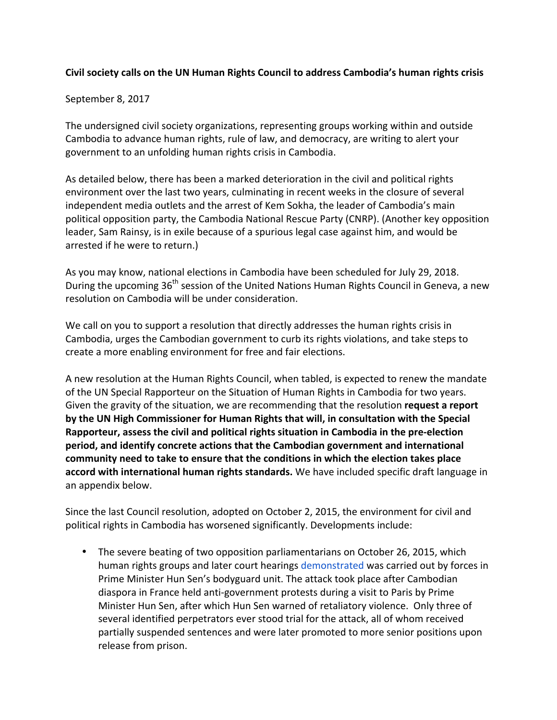## **Civil society calls on the UN Human Rights Council to address Cambodia's human rights crisis**

#### September 8, 2017

The undersigned civil society organizations, representing groups working within and outside Cambodia to advance human rights, rule of law, and democracy, are writing to alert your government to an unfolding human rights crisis in Cambodia.

As detailed below, there has been a marked deterioration in the civil and political rights environment over the last two years, culminating in recent weeks in the closure of several independent media outlets and the arrest of Kem Sokha, the leader of Cambodia's main political opposition party, the Cambodia National Rescue Party (CNRP). (Another key opposition leader, Sam Rainsy, is in exile because of a spurious legal case against him, and would be arrested if he were to return.)

As you may know, national elections in Cambodia have been scheduled for July 29, 2018. During the upcoming  $36<sup>th</sup>$  session of the United Nations Human Rights Council in Geneva, a new resolution on Cambodia will be under consideration.

We call on you to support a resolution that directly addresses the human rights crisis in Cambodia, urges the Cambodian government to curb its rights violations, and take steps to create a more enabling environment for free and fair elections.

A new resolution at the Human Rights Council, when tabled, is expected to renew the mandate of the UN Special Rapporteur on the Situation of Human Rights in Cambodia for two years. Given the gravity of the situation, we are recommending that the resolution **request a report** by the UN High Commissioner for Human Rights that will, in consultation with the Special **Rapporteur, assess the civil and political rights situation in Cambodia in the pre-election** period, and identify concrete actions that the Cambodian government and international community need to take to ensure that the conditions in which the election takes place accord with international human rights standards. We have included specific draft language in an appendix below.

Since the last Council resolution, adopted on October 2, 2015, the environment for civil and political rights in Cambodia has worsened significantly. Developments include:

• The severe beating of two opposition parliamentarians on October 26, 2015, which human rights groups and later court hearings demonstrated was carried out by forces in Prime Minister Hun Sen's bodyguard unit. The attack took place after Cambodian diaspora in France held anti-government protests during a visit to Paris by Prime Minister Hun Sen, after which Hun Sen warned of retaliatory violence. Only three of several identified perpetrators ever stood trial for the attack, all of whom received partially suspended sentences and were later promoted to more senior positions upon release from prison.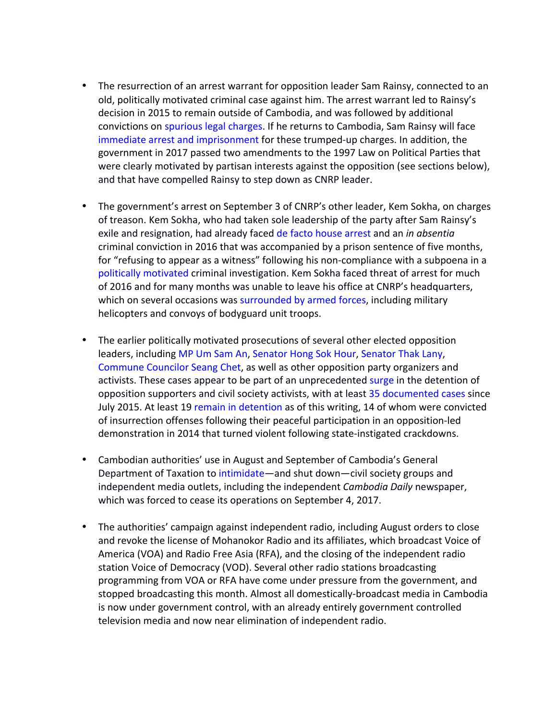- The resurrection of an arrest warrant for opposition leader Sam Rainsy, connected to an old, politically motivated criminal case against him. The arrest warrant led to Rainsy's decision in 2015 to remain outside of Cambodia, and was followed by additional convictions on spurious legal charges. If he returns to Cambodia, Sam Rainsy will face immediate arrest and imprisonment for these trumped-up charges. In addition, the government in 2017 passed two amendments to the 1997 Law on Political Parties that were clearly motivated by partisan interests against the opposition (see sections below), and that have compelled Rainsy to step down as CNRP leader.
- The government's arrest on September 3 of CNRP's other leader, Kem Sokha, on charges of treason. Kem Sokha, who had taken sole leadership of the party after Sam Rainsy's exile and resignation, had already faced de facto house arrest and an *in absentia* criminal conviction in 2016 that was accompanied by a prison sentence of five months, for "refusing to appear as a witness" following his non-compliance with a subpoena in a politically motivated criminal investigation. Kem Sokha faced threat of arrest for much of 2016 and for many months was unable to leave his office at CNRP's headquarters, which on several occasions was surrounded by armed forces, including military helicopters and convoys of bodyguard unit troops.
- The earlier politically motivated prosecutions of several other elected opposition leaders, including MP Um Sam An, Senator Hong Sok Hour, Senator Thak Lany, Commune Councilor Seang Chet, as well as other opposition party organizers and activists. These cases appear to be part of an unprecedented surge in the detention of opposition supporters and civil society activists, with at least 35 documented cases since July 2015. At least 19 remain in detention as of this writing, 14 of whom were convicted of insurrection offenses following their peaceful participation in an opposition-led demonstration in 2014 that turned violent following state-instigated crackdowns.
- Cambodian authorities' use in August and September of Cambodia's General Department of Taxation to intimidate—and shut down—civil society groups and independent media outlets, including the independent *Cambodia Daily* newspaper, which was forced to cease its operations on September 4, 2017.
- The authorities' campaign against independent radio, including August orders to close and revoke the license of Mohanokor Radio and its affiliates, which broadcast Voice of America (VOA) and Radio Free Asia (RFA), and the closing of the independent radio station Voice of Democracy (VOD). Several other radio stations broadcasting programming from VOA or RFA have come under pressure from the government, and stopped broadcasting this month. Almost all domestically-broadcast media in Cambodia is now under government control, with an already entirely government controlled television media and now near elimination of independent radio.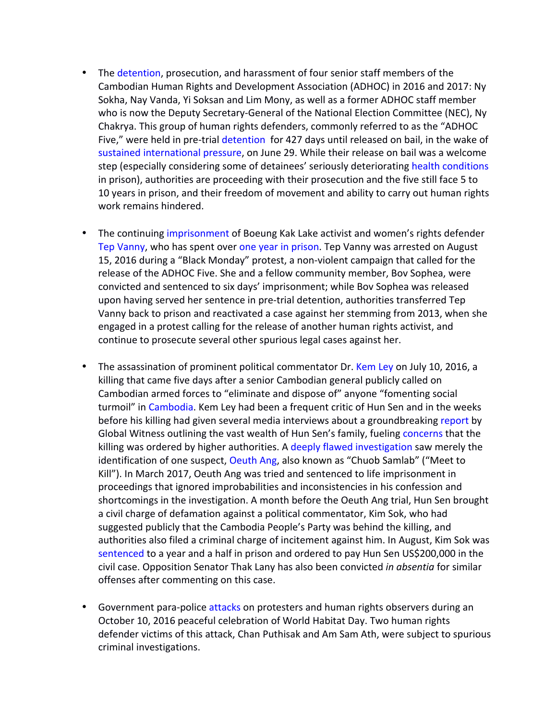- The detention, prosecution, and harassment of four senior staff members of the Cambodian Human Rights and Development Association (ADHOC) in 2016 and 2017: Ny Sokha, Nay Vanda, Yi Soksan and Lim Mony, as well as a former ADHOC staff member who is now the Deputy Secretary-General of the National Election Committee (NEC), Ny Chakrya. This group of human rights defenders, commonly referred to as the "ADHOC Five," were held in pre-trial detention for 427 days until released on bail, in the wake of sustained international pressure, on June 29. While their release on bail was a welcome step (especially considering some of detainees' seriously deteriorating health conditions in prison), authorities are proceeding with their prosecution and the five still face 5 to 10 years in prison, and their freedom of movement and ability to carry out human rights work remains hindered.
- The continuing imprisonment of Boeung Kak Lake activist and women's rights defender Tep Vanny, who has spent over one year in prison. Tep Vanny was arrested on August 15, 2016 during a "Black Monday" protest, a non-violent campaign that called for the release of the ADHOC Five. She and a fellow community member, Bov Sophea, were convicted and sentenced to six days' imprisonment; while Bov Sophea was released upon having served her sentence in pre-trial detention, authorities transferred Tep Vanny back to prison and reactivated a case against her stemming from 2013, when she engaged in a protest calling for the release of another human rights activist, and continue to prosecute several other spurious legal cases against her.
- The assassination of prominent political commentator Dr. Kem Ley on July 10, 2016, a killing that came five days after a senior Cambodian general publicly called on Cambodian armed forces to "eliminate and dispose of" anyone "fomenting social turmoil" in Cambodia. Kem Ley had been a frequent critic of Hun Sen and in the weeks before his killing had given several media interviews about a groundbreaking report by Global Witness outlining the vast wealth of Hun Sen's family, fueling concerns that the killing was ordered by higher authorities. A deeply flawed investigation saw merely the identification of one suspect, Oeuth Ang, also known as "Chuob Samlab" ("Meet to Kill"). In March 2017, Oeuth Ang was tried and sentenced to life imprisonment in proceedings that ignored improbabilities and inconsistencies in his confession and shortcomings in the investigation. A month before the Oeuth Ang trial, Hun Sen brought a civil charge of defamation against a political commentator, Kim Sok, who had suggested publicly that the Cambodia People's Party was behind the killing, and authorities also filed a criminal charge of incitement against him. In August, Kim Sok was sentenced to a year and a half in prison and ordered to pay Hun Sen US\$200,000 in the civil case. Opposition Senator Thak Lany has also been convicted *in absentia* for similar offenses after commenting on this case.
- Government para-police attacks on protesters and human rights observers during an October 10, 2016 peaceful celebration of World Habitat Day. Two human rights defender victims of this attack, Chan Puthisak and Am Sam Ath, were subject to spurious criminal investigations.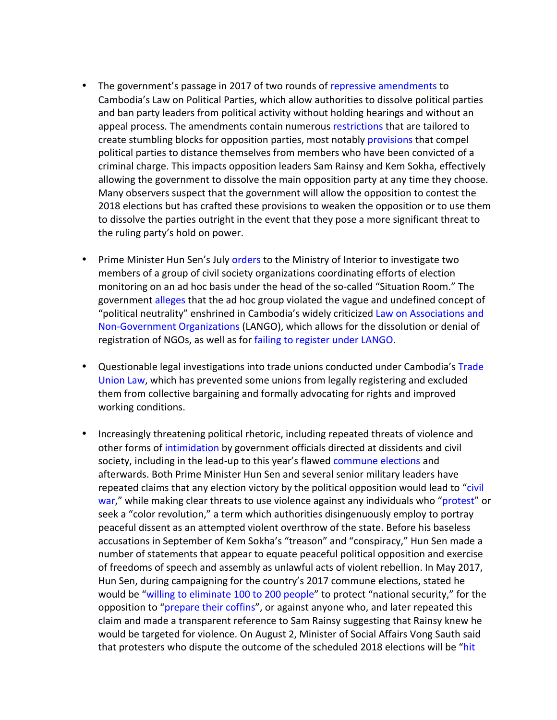- The government's passage in 2017 of two rounds of repressive amendments to Cambodia's Law on Political Parties, which allow authorities to dissolve political parties and ban party leaders from political activity without holding hearings and without an appeal process. The amendments contain numerous restrictions that are tailored to create stumbling blocks for opposition parties, most notably provisions that compel political parties to distance themselves from members who have been convicted of a criminal charge. This impacts opposition leaders Sam Rainsy and Kem Sokha, effectively allowing the government to dissolve the main opposition party at any time they choose. Many observers suspect that the government will allow the opposition to contest the 2018 elections but has crafted these provisions to weaken the opposition or to use them to dissolve the parties outright in the event that they pose a more significant threat to the ruling party's hold on power.
- Prime Minister Hun Sen's July orders to the Ministry of Interior to investigate two members of a group of civil society organizations coordinating efforts of election monitoring on an ad hoc basis under the head of the so-called "Situation Room." The government alleges that the ad hoc group violated the vague and undefined concept of "political neutrality" enshrined in Cambodia's widely criticized Law on Associations and Non-Government Organizations (LANGO), which allows for the dissolution or denial of registration of NGOs, as well as for failing to register under LANGO.
- Questionable legal investigations into trade unions conducted under Cambodia's Trade Union Law, which has prevented some unions from legally registering and excluded them from collective bargaining and formally advocating for rights and improved working conditions.
- Increasingly threatening political rhetoric, including repeated threats of violence and other forms of intimidation by government officials directed at dissidents and civil society, including in the lead-up to this year's flawed commune elections and afterwards. Both Prime Minister Hun Sen and several senior military leaders have repeated claims that any election victory by the political opposition would lead to "civil war," while making clear threats to use violence against any individuals who "protest" or seek a "color revolution," a term which authorities disingenuously employ to portray peaceful dissent as an attempted violent overthrow of the state. Before his baseless accusations in September of Kem Sokha's "treason" and "conspiracy," Hun Sen made a number of statements that appear to equate peaceful political opposition and exercise of freedoms of speech and assembly as unlawful acts of violent rebellion. In May 2017, Hun Sen, during campaigning for the country's 2017 commune elections, stated he would be "willing to eliminate 100 to 200 people" to protect "national security," for the opposition to "prepare their coffins", or against anyone who, and later repeated this claim and made a transparent reference to Sam Rainsy suggesting that Rainsy knew he would be targeted for violence. On August 2, Minister of Social Affairs Vong Sauth said that protesters who dispute the outcome of the scheduled 2018 elections will be "hit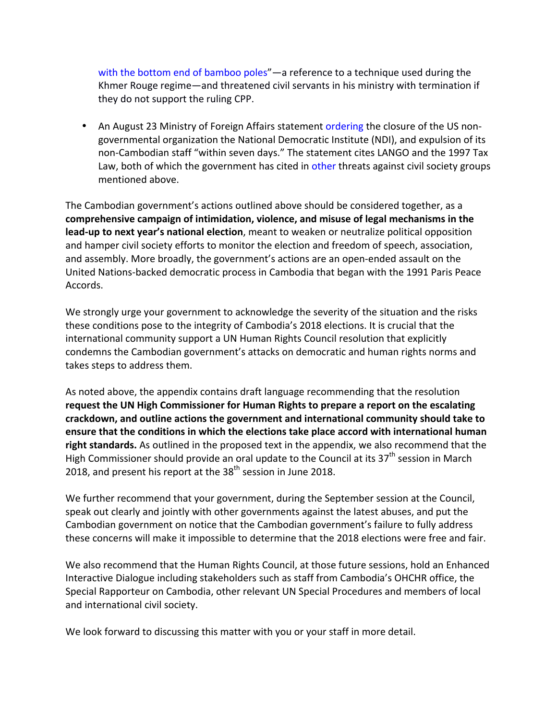with the bottom end of bamboo poles"—a reference to a technique used during the Khmer Rouge regime—and threatened civil servants in his ministry with termination if they do not support the ruling CPP.

• An August 23 Ministry of Foreign Affairs statement ordering the closure of the US nongovernmental organization the National Democratic Institute (NDI), and expulsion of its non-Cambodian staff "within seven days." The statement cites LANGO and the 1997 Tax Law, both of which the government has cited in other threats against civil society groups mentioned above.

The Cambodian government's actions outlined above should be considered together, as a comprehensive campaign of intimidation, violence, and misuse of legal mechanisms in the **lead-up to next year's national election**, meant to weaken or neutralize political opposition and hamper civil society efforts to monitor the election and freedom of speech, association, and assembly. More broadly, the government's actions are an open-ended assault on the United Nations-backed democratic process in Cambodia that began with the 1991 Paris Peace Accords.

We strongly urge your government to acknowledge the severity of the situation and the risks these conditions pose to the integrity of Cambodia's 2018 elections. It is crucial that the international community support a UN Human Rights Council resolution that explicitly condemns the Cambodian government's attacks on democratic and human rights norms and takes steps to address them.

As noted above, the appendix contains draft language recommending that the resolution request the UN High Commissioner for Human Rights to prepare a report on the escalating **crackdown, and outline actions the government and international community should take to ensure that the conditions in which the elections take place accord with international human** right standards. As outlined in the proposed text in the appendix, we also recommend that the High Commissioner should provide an oral update to the Council at its  $37<sup>th</sup>$  session in March 2018, and present his report at the  $38<sup>th</sup>$  session in June 2018.

We further recommend that your government, during the September session at the Council, speak out clearly and jointly with other governments against the latest abuses, and put the Cambodian government on notice that the Cambodian government's failure to fully address these concerns will make it impossible to determine that the 2018 elections were free and fair.

We also recommend that the Human Rights Council, at those future sessions, hold an Enhanced Interactive Dialogue including stakeholders such as staff from Cambodia's OHCHR office, the Special Rapporteur on Cambodia, other relevant UN Special Procedures and members of local and international civil society.

We look forward to discussing this matter with you or your staff in more detail.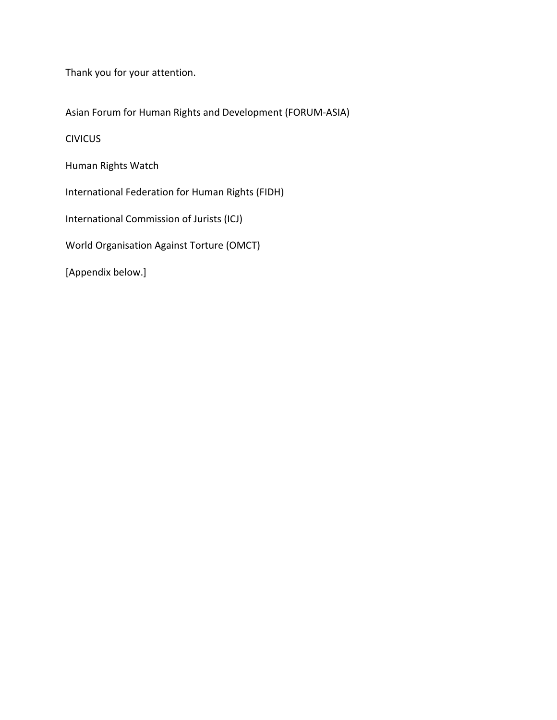Thank you for your attention.

Asian Forum for Human Rights and Development (FORUM-ASIA)

CIVICUS

Human Rights Watch

International Federation for Human Rights (FIDH)

International Commission of Jurists (ICJ)

World Organisation Against Torture (OMCT)

[Appendix below.]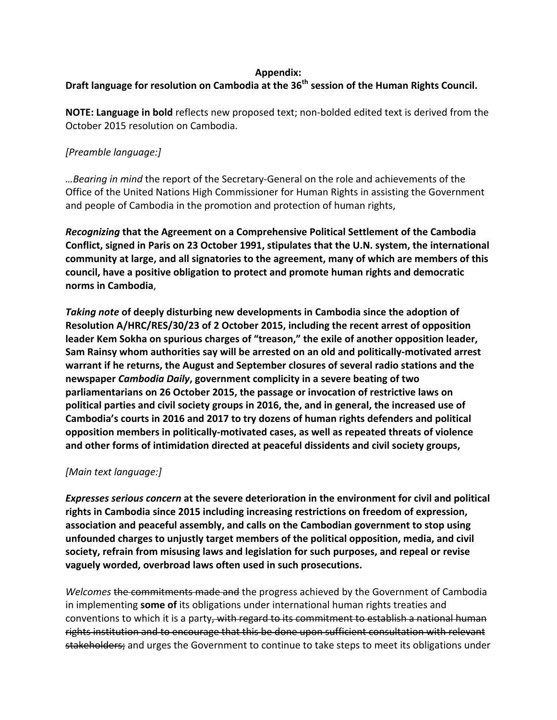#### **Appendix:**

### Draft language for resolution on Cambodia at the 36<sup>th</sup> session of the Human Rights Council.

**NOTE: Language in bold** reflects new proposed text; non-bolded edited text is derived from the October 2015 resolution on Cambodia.

## *[Preamble language:]*

…Bearing in mind the report of the Secretary-General on the role and achievements of the Office of the United Nations High Commissioner for Human Rights in assisting the Government and people of Cambodia in the promotion and protection of human rights,

*Recognizing* **that the Agreement on a Comprehensive Political Settlement of the Cambodia** Conflict, signed in Paris on 23 October 1991, stipulates that the U.N. system, the international community at large, and all signatories to the agreement, many of which are members of this council, have a positive obligation to protect and promote human rights and democratic **norms in Cambodia**,

**Taking note of deeply disturbing new developments in Cambodia since the adoption of Resolution A/HRC/RES/30/23 of 2 October 2015, including the recent arrest of opposition** leader Kem Sokha on spurious charges of "treason," the exile of another opposition leader, Sam Rainsy whom authorities say will be arrested on an old and politically-motivated arrest warrant if he returns, the August and September closures of several radio stations and the **newspaper** *Cambodia Daily***, government complicity in a severe beating of two** parliamentarians on 26 October 2015, the passage or invocation of restrictive laws on **political parties and civil society groups in 2016, the, and in general, the increased use of** Cambodia's courts in 2016 and 2017 to try dozens of human rights defenders and political **opposition members in politically-motivated cases, as well as repeated threats of violence** and other forms of intimidation directed at peaceful dissidents and civil society groups,

#### *[Main text language:]*

*Expresses serious concern* at the severe deterioration in the environment for civil and political rights in Cambodia since 2015 including increasing restrictions on freedom of expression, association and peaceful assembly, and calls on the Cambodian government to stop using unfounded charges to unjustly target members of the political opposition, media, and civil society, refrain from misusing laws and legislation for such purposes, and repeal or revise vaguely worded, overbroad laws often used in such prosecutions.

*Welcomes* the commitments made and the progress achieved by the Government of Cambodia in implementing **some of** its obligations under international human rights treaties and conventions to which it is a party, with regard to its commitment to establish a national human rights institution and to encourage that this be done upon sufficient consultation with relevant stakeholders; and urges the Government to continue to take steps to meet its obligations under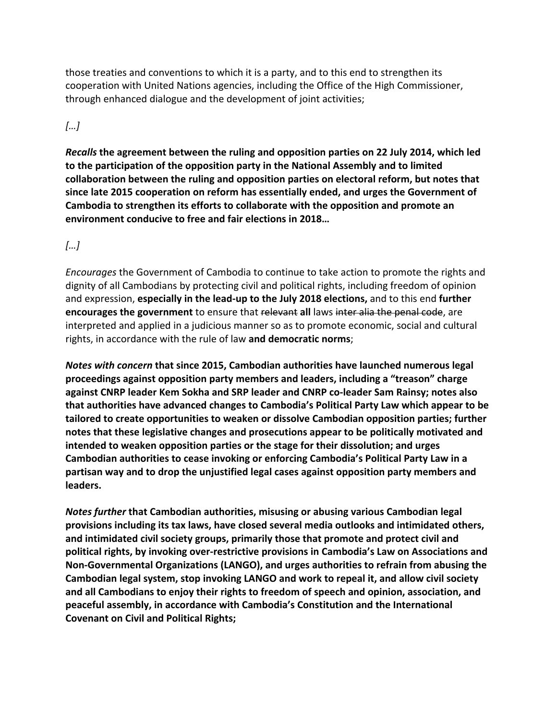those treaties and conventions to which it is a party, and to this end to strengthen its cooperation with United Nations agencies, including the Office of the High Commissioner, through enhanced dialogue and the development of joint activities;

# *[…]*

*Recalls* the agreement between the ruling and opposition parties on 22 July 2014, which led to the participation of the opposition party in the National Assembly and to limited collaboration between the ruling and opposition parties on electoral reform, but notes that since late 2015 cooperation on reform has essentially ended, and urges the Government of Cambodia to strengthen its efforts to collaborate with the opposition and promote an **environment conducive to free and fair elections in 2018...** 

# *[…]*

*Encourages* the Government of Cambodia to continue to take action to promote the rights and dignity of all Cambodians by protecting civil and political rights, including freedom of opinion and expression, **especially in the lead-up to the July 2018 elections,** and to this end **further encourages the government** to ensure that relevant all laws inter alia the penal code, are interpreted and applied in a judicious manner so as to promote economic, social and cultural rights, in accordance with the rule of law and democratic norms;

*Notes with concern* that since 2015, Cambodian authorities have launched numerous legal **proceedings against opposition party members and leaders, including a "treason" charge** against CNRP leader Kem Sokha and SRP leader and CNRP co-leader Sam Rainsy; notes also **that authorities have advanced changes to Cambodia's Political Party Law which appear to be** tailored to create opportunities to weaken or dissolve Cambodian opposition parties; further notes that these legislative changes and prosecutions appear to be politically motivated and **intended to weaken opposition parties or the stage for their dissolution; and urges** Cambodian authorities to cease invoking or enforcing Cambodia's Political Party Law in a partisan way and to drop the unjustified legal cases against opposition party members and **leaders.**

*Notes further* that Cambodian authorities, misusing or abusing various Cambodian legal provisions including its tax laws, have closed several media outlooks and intimidated others, and intimidated civil society groups, primarily those that promote and protect civil and political rights, by invoking over-restrictive provisions in Cambodia's Law on Associations and Non-Governmental Organizations (LANGO), and urges authorities to refrain from abusing the Cambodian legal system, stop invoking LANGO and work to repeal it, and allow civil society and all Cambodians to enjoy their rights to freedom of speech and opinion, association, and peaceful assembly, in accordance with Cambodia's Constitution and the International **Covenant on Civil and Political Rights;**